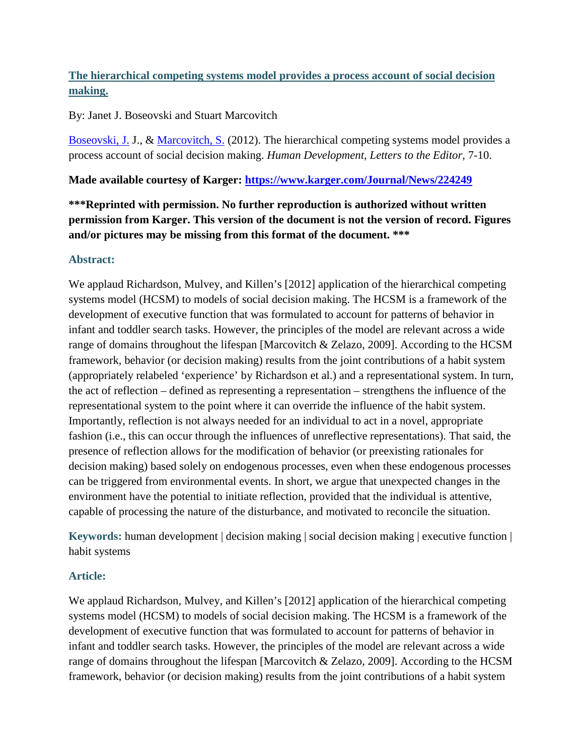# **The hierarchical competing systems model provides a process account of social decision making.**

### By: Janet J. Boseovski and Stuart Marcovitch

[Boseovski, J.](http://libres.uncg.edu/ir/uncg/clist.aspx?id=146) J., & [Marcovitch, S.](http://libres.uncg.edu/ir/uncg/clist.aspx?id=633) (2012). The hierarchical competing systems model provides a process account of social decision making. *Human Development, Letters to the Editor,* 7-10.

### **Made available courtesy of Karger:<https://www.karger.com/Journal/News/224249>**

**\*\*\*Reprinted with permission. No further reproduction is authorized without written permission from Karger. This version of the document is not the version of record. Figures and/or pictures may be missing from this format of the document. \*\*\***

#### **Abstract:**

We applaud Richardson, Mulvey, and Killen's [2012] application of the hierarchical competing systems model (HCSM) to models of social decision making. The HCSM is a framework of the development of executive function that was formulated to account for patterns of behavior in infant and toddler search tasks. However, the principles of the model are relevant across a wide range of domains throughout the lifespan [Marcovitch & Zelazo, 2009]. According to the HCSM framework, behavior (or decision making) results from the joint contributions of a habit system (appropriately relabeled 'experience' by Richardson et al.) and a representational system. In turn, the act of reflection – defined as representing a representation – strengthens the influence of the representational system to the point where it can override the influence of the habit system. Importantly, reflection is not always needed for an individual to act in a novel, appropriate fashion (i.e., this can occur through the influences of unreflective representations). That said, the presence of reflection allows for the modification of behavior (or preexisting rationales for decision making) based solely on endogenous processes, even when these endogenous processes can be triggered from environmental events. In short, we argue that unexpected changes in the environment have the potential to initiate reflection, provided that the individual is attentive, capable of processing the nature of the disturbance, and motivated to reconcile the situation.

**Keywords:** human development | decision making | social decision making | executive function | habit systems

## **Article:**

We applaud Richardson, Mulvey, and Killen's [2012] application of the hierarchical competing systems model (HCSM) to models of social decision making. The HCSM is a framework of the development of executive function that was formulated to account for patterns of behavior in infant and toddler search tasks. However, the principles of the model are relevant across a wide range of domains throughout the lifespan [Marcovitch & Zelazo, 2009]. According to the HCSM framework, behavior (or decision making) results from the joint contributions of a habit system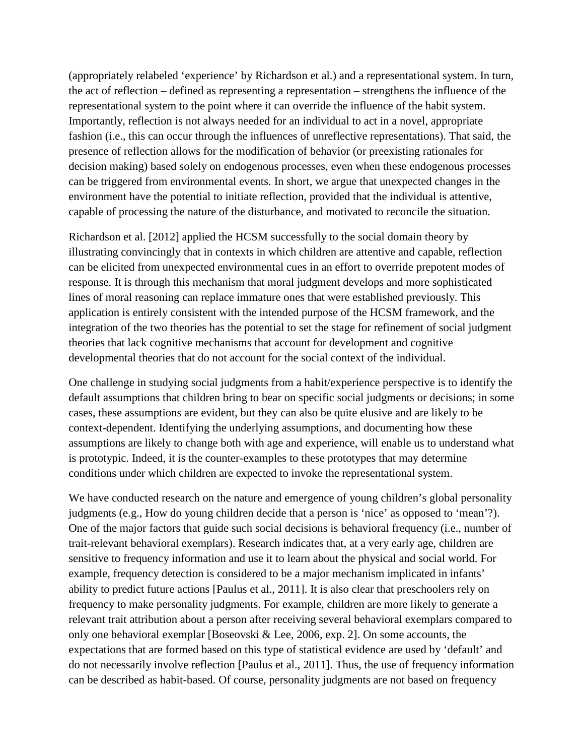(appropriately relabeled 'experience' by Richardson et al.) and a representational system. In turn, the act of reflection – defined as representing a representation – strengthens the influence of the representational system to the point where it can override the influence of the habit system. Importantly, reflection is not always needed for an individual to act in a novel, appropriate fashion (i.e., this can occur through the influences of unreflective representations). That said, the presence of reflection allows for the modification of behavior (or preexisting rationales for decision making) based solely on endogenous processes, even when these endogenous processes can be triggered from environmental events. In short, we argue that unexpected changes in the environment have the potential to initiate reflection, provided that the individual is attentive, capable of processing the nature of the disturbance, and motivated to reconcile the situation.

Richardson et al. [2012] applied the HCSM successfully to the social domain theory by illustrating convincingly that in contexts in which children are attentive and capable, reflection can be elicited from unexpected environmental cues in an effort to override prepotent modes of response. It is through this mechanism that moral judgment develops and more sophisticated lines of moral reasoning can replace immature ones that were established previously. This application is entirely consistent with the intended purpose of the HCSM framework, and the integration of the two theories has the potential to set the stage for refinement of social judgment theories that lack cognitive mechanisms that account for development and cognitive developmental theories that do not account for the social context of the individual.

One challenge in studying social judgments from a habit/experience perspective is to identify the default assumptions that children bring to bear on specific social judgments or decisions; in some cases, these assumptions are evident, but they can also be quite elusive and are likely to be context-dependent. Identifying the underlying assumptions, and documenting how these assumptions are likely to change both with age and experience, will enable us to understand what is prototypic. Indeed, it is the counter-examples to these prototypes that may determine conditions under which children are expected to invoke the representational system.

We have conducted research on the nature and emergence of young children's global personality judgments (e.g., How do young children decide that a person is 'nice' as opposed to 'mean'?). One of the major factors that guide such social decisions is behavioral frequency (i.e., number of trait-relevant behavioral exemplars). Research indicates that, at a very early age, children are sensitive to frequency information and use it to learn about the physical and social world. For example, frequency detection is considered to be a major mechanism implicated in infants' ability to predict future actions [Paulus et al., 2011]. It is also clear that preschoolers rely on frequency to make personality judgments. For example, children are more likely to generate a relevant trait attribution about a person after receiving several behavioral exemplars compared to only one behavioral exemplar [Boseovski & Lee, 2006, exp. 2]. On some accounts, the expectations that are formed based on this type of statistical evidence are used by 'default' and do not necessarily involve reflection [Paulus et al., 2011]. Thus, the use of frequency information can be described as habit-based. Of course, personality judgments are not based on frequency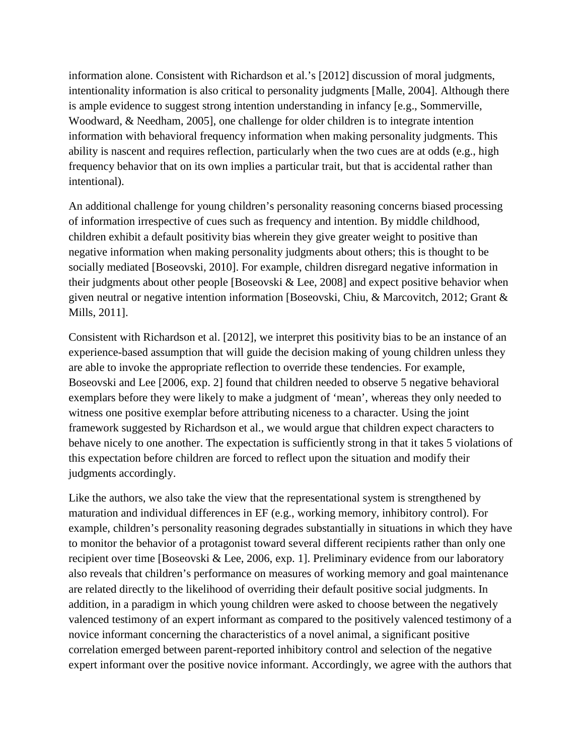information alone. Consistent with Richardson et al.'s [2012] discussion of moral judgments, intentionality information is also critical to personality judgments [Malle, 2004]. Although there is ample evidence to suggest strong intention understanding in infancy [e.g., Sommerville, Woodward, & Needham, 2005], one challenge for older children is to integrate intention information with behavioral frequency information when making personality judgments. This ability is nascent and requires reflection, particularly when the two cues are at odds (e.g., high frequency behavior that on its own implies a particular trait, but that is accidental rather than intentional).

An additional challenge for young children's personality reasoning concerns biased processing of information irrespective of cues such as frequency and intention. By middle childhood, children exhibit a default positivity bias wherein they give greater weight to positive than negative information when making personality judgments about others; this is thought to be socially mediated [Boseovski, 2010]. For example, children disregard negative information in their judgments about other people [Boseovski & Lee, 2008] and expect positive behavior when given neutral or negative intention information [Boseovski, Chiu, & Marcovitch, 2012; Grant & Mills, 2011].

Consistent with Richardson et al. [2012], we interpret this positivity bias to be an instance of an experience-based assumption that will guide the decision making of young children unless they are able to invoke the appropriate reflection to override these tendencies. For example, Boseovski and Lee [2006, exp. 2] found that children needed to observe 5 negative behavioral exemplars before they were likely to make a judgment of 'mean', whereas they only needed to witness one positive exemplar before attributing niceness to a character. Using the joint framework suggested by Richardson et al., we would argue that children expect characters to behave nicely to one another. The expectation is sufficiently strong in that it takes 5 violations of this expectation before children are forced to reflect upon the situation and modify their judgments accordingly.

Like the authors, we also take the view that the representational system is strengthened by maturation and individual differences in EF (e.g., working memory, inhibitory control). For example, children's personality reasoning degrades substantially in situations in which they have to monitor the behavior of a protagonist toward several different recipients rather than only one recipient over time [Boseovski & Lee, 2006, exp. 1]. Preliminary evidence from our laboratory also reveals that children's performance on measures of working memory and goal maintenance are related directly to the likelihood of overriding their default positive social judgments. In addition, in a paradigm in which young children were asked to choose between the negatively valenced testimony of an expert informant as compared to the positively valenced testimony of a novice informant concerning the characteristics of a novel animal, a significant positive correlation emerged between parent-reported inhibitory control and selection of the negative expert informant over the positive novice informant. Accordingly, we agree with the authors that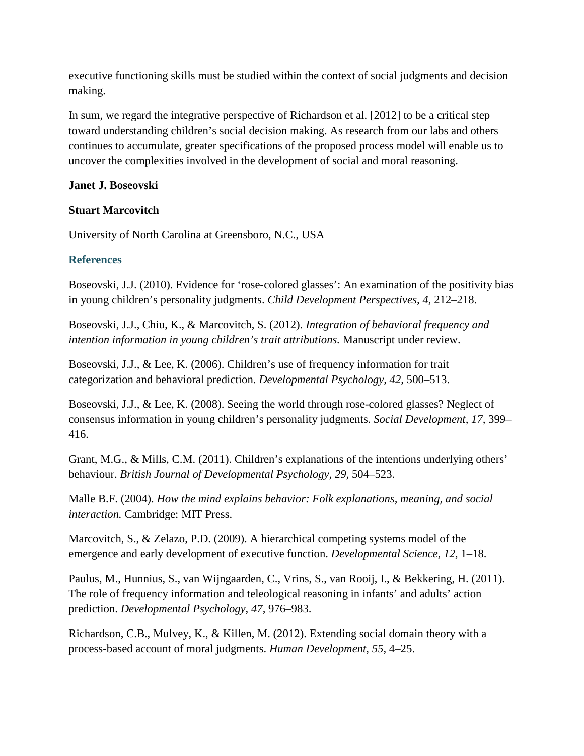executive functioning skills must be studied within the context of social judgments and decision making.

In sum, we regard the integrative perspective of Richardson et al. [2012] to be a critical step toward understanding children's social decision making. As research from our labs and others continues to accumulate, greater specifications of the proposed process model will enable us to uncover the complexities involved in the development of social and moral reasoning.

#### **Janet J. Boseovski**

### **Stuart Marcovitch**

University of North Carolina at Greensboro, N.C., USA

## **References**

Boseovski, J.J. (2010). Evidence for 'rose‐colored glasses': An examination of the positivity bias in young children's personality judgments. *Child Development Perspectives, 4,* 212–218.

Boseovski, J.J., Chiu, K., & Marcovitch, S. (2012). *Integration of behavioral frequency and intention information in young children's trait attributions.* Manuscript under review.

Boseovski, J.J., & Lee, K. (2006). Children's use of frequency information for trait categorization and behavioral prediction. *Developmental Psychology, 42,* 500–513.

Boseovski, J.J., & Lee, K. (2008). Seeing the world through rose-colored glasses? Neglect of consensus information in young children's personality judgments. *Social Development, 17,* 399– 416.

Grant, M.G., & Mills, C.M. (2011). Children's explanations of the intentions underlying others' behaviour. *British Journal of Developmental Psychology, 29,* 504–523.

Malle B.F. (2004). *How the mind explains behavior: Folk explanations, meaning, and social interaction.* Cambridge: MIT Press.

Marcovitch, S., & Zelazo, P.D. (2009). A hierarchical competing systems model of the emergence and early development of executive function. *Developmental Science, 12,* 1–18.

Paulus, M., Hunnius, S., van Wijngaarden, C., Vrins, S., van Rooij, I., & Bekkering, H. (2011). The role of frequency information and teleological reasoning in infants' and adults' action prediction. *Developmental Psychology, 47,* 976–983.

Richardson, C.B., Mulvey, K., & Killen, M. (2012). Extending social domain theory with a process-based account of moral judgments. *Human Development, 55,* 4–25.